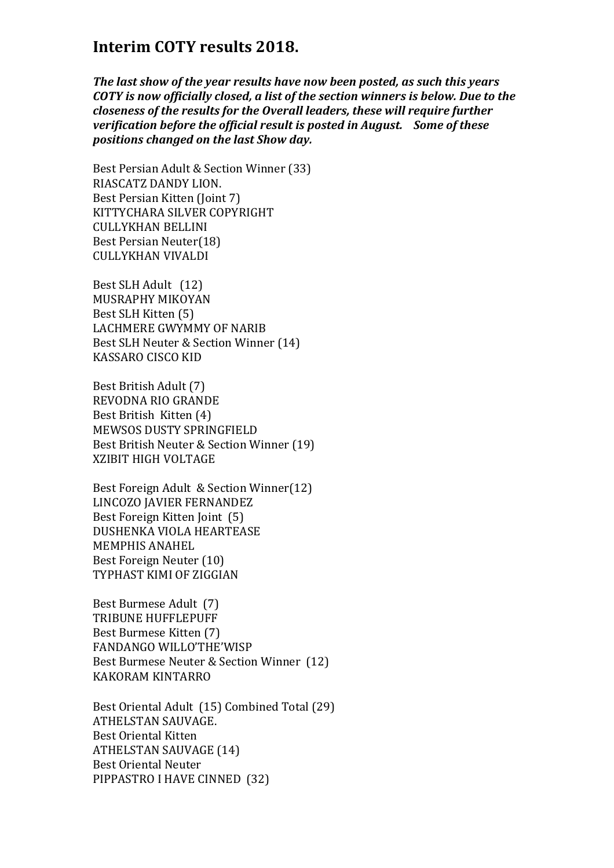## **Interim COTY results 2018.**

*The last show of the year results have now been posted, as such this years COTY is now officially closed, a list of the section winners is below. Due to the closeness of the results for the Overall leaders, these will require further verification before the official result is posted in August. Some of these positions changed on the last Show day.* 

Best Persian Adult & Section Winner (33) RIASCATZ DANDY LION. Best Persian Kitten (Joint 7) KITTYCHARA SILVER COPYRIGHT CULLYKHAN BELLINI Best Persian Neuter(18) CULLYKHAN VIVALDI

Best SLH Adult (12) MUSRAPHY MIKOYAN Best SLH Kitten (5) LACHMERE GWYMMY OF NARIB Best SLH Neuter & Section Winner (14) KASSARO CISCO KID

Best British Adult (7) REVODNA RIO GRANDE Best British Kitten (4) MEWSOS DUSTY SPRINGFIELD Best British Neuter & Section Winner (19) XZIBIT HIGH VOLTAGE

Best Foreign Adult & Section Winner(12) LINCOZO JAVIER FERNANDEZ Best Foreign Kitten Joint (5) DUSHENKA VIOLA HEARTEASE MEMPHIS ANAHEL Best Foreign Neuter (10) TYPHAST KIMI OF ZIGGIAN

Best Burmese Adult (7) TRIBUNE HUFFLEPUFF Best Burmese Kitten (7) FANDANGO WILLO'THE'WISP Best Burmese Neuter & Section Winner (12) KAKORAM KINTARRO

Best Oriental Adult (15) Combined Total (29) ATHELSTAN SAUVAGE. Best Oriental Kitten ATHELSTAN SAUVAGE (14) Best Oriental Neuter PIPPASTRO I HAVE CINNED (32)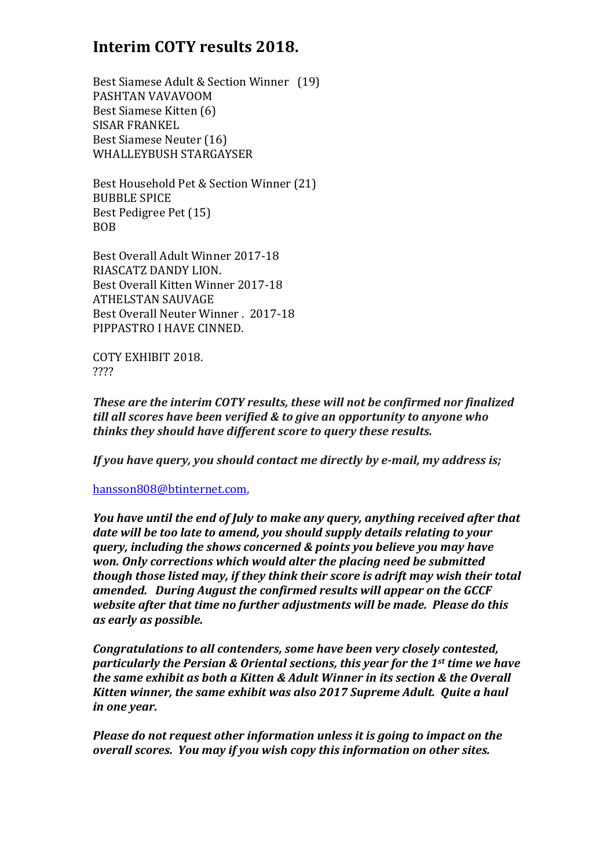## **Interim COTY results 2018.**

Best Siamese Adult & Section Winner (19) PASHTAN VAVAVOOM Best Siamese Kitten (6) SISAR FRANKEL Best Siamese Neuter (16) WHALLEYBUSH STARGAYSER

Best Household Pet & Section Winner (21) BUBBLE SPICE Best Pedigree Pet (15) BOB

Best Overall Adult Winner 2017-18 RIASCATZ DANDY LION. Best Overall Kitten Winner 2017-18 ATHELSTAN SAUVAGE Best Overall Neuter Winner . 2017-18 PIPPASTRO I HAVE CINNED.

COTY EXHIBIT 2018. ????

*These are the interim COTY results, these will not be confirmed nor finalized till all scores have been verified & to give an opportunity to anyone who thinks they should have different score to query these results.* 

*If you have query, you should contact me directly by e-mail, my address is;* 

hansson808@btinternet.com,

*You have until the end of July to make any query, anything received after that date will be too late to amend, you should supply details relating to your query, including the shows concerned & points you believe you may have won. Only corrections which would alter the placing need be submitted though those listed may, if they think their score is adrift may wish their total amended. During August the confirmed results will appear on the GCCF website after that time no further adjustments will be made. Please do this as early as possible.* 

*Congratulations to all contenders, some have been very closely contested, particularly the Persian & Oriental sections, this year for the 1st time we have the same exhibit as both a Kitten & Adult Winner in its section & the Overall Kitten winner, the same exhibit was also 2017 Supreme Adult. Quite a haul in one year.* 

*Please do not request other information unless it is going to impact on the overall scores. You may if you wish copy this information on other sites.*